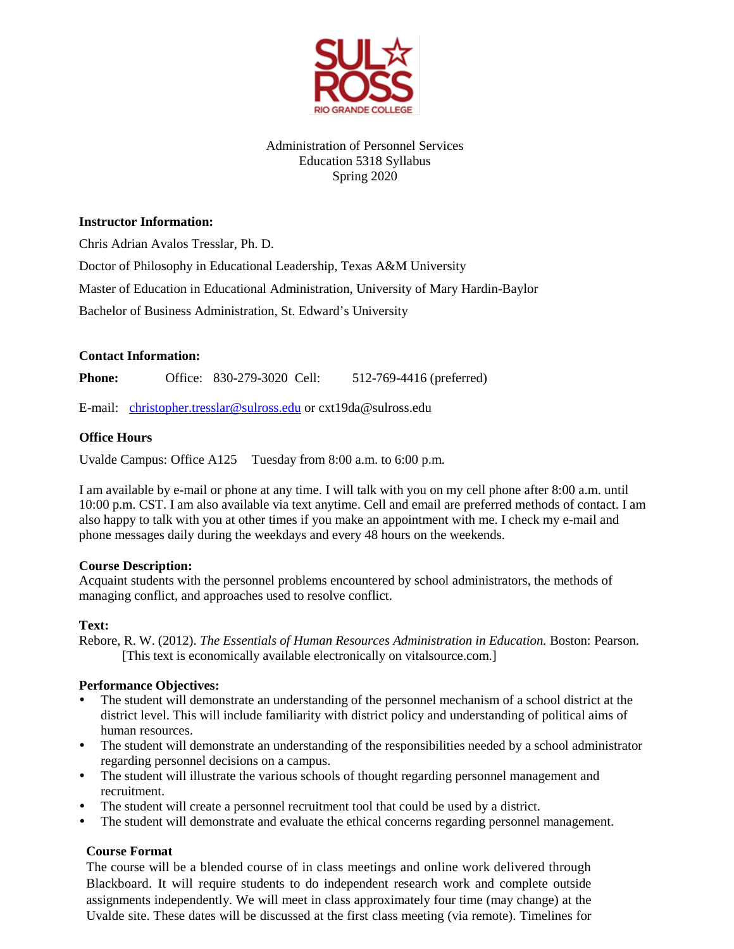

# Administration of Personnel Services Education 5318 Syllabus Spring 2020

## **Instructor Information:**

Chris Adrian Avalos Tresslar, Ph. D.

Doctor of Philosophy in Educational Leadership, Texas A&M University

Master of Education in Educational Administration, University of Mary Hardin-Baylor

Bachelor of Business Administration, St. Edward's University

## **Contact Information:**

**Phone:** Office: 830-279-3020 Cell: 512-769-4416 (preferred)

E-mail: [christopher.tresslar@sulross.edu](mailto:christopher.tresslar@sulross.edu) or cxt19da@sulross.edu

## **Office Hours**

Uvalde Campus: Office A125 Tuesday from 8:00 a.m. to 6:00 p.m.

I am available by e-mail or phone at any time. I will talk with you on my cell phone after 8:00 a.m. until 10:00 p.m. CST. I am also available via text anytime. Cell and email are preferred methods of contact. I am also happy to talk with you at other times if you make an appointment with me. I check my e-mail and phone messages daily during the weekdays and every 48 hours on the weekends.

### **Course Description:**

Acquaint students with the personnel problems encountered by school administrators, the methods of managing conflict, and approaches used to resolve conflict.

# **Text:**

Rebore, R. W. (2012). *The Essentials of Human Resources Administration in Education.* Boston: Pearson. [This text is economically available electronically on vitalsource.com.]

# **Performance Objectives:**

- The student will demonstrate an understanding of the personnel mechanism of a school district at the district level. This will include familiarity with district policy and understanding of political aims of human resources.
- The student will demonstrate an understanding of the responsibilities needed by a school administrator regarding personnel decisions on a campus.
- The student will illustrate the various schools of thought regarding personnel management and recruitment.
- The student will create a personnel recruitment tool that could be used by a district.
- The student will demonstrate and evaluate the ethical concerns regarding personnel management.

# **Course Format**

The course will be a blended course of in class meetings and online work delivered through Blackboard. It will require students to do independent research work and complete outside assignments independently. We will meet in class approximately four time (may change) at the Uvalde site. These dates will be discussed at the first class meeting (via remote). Timelines for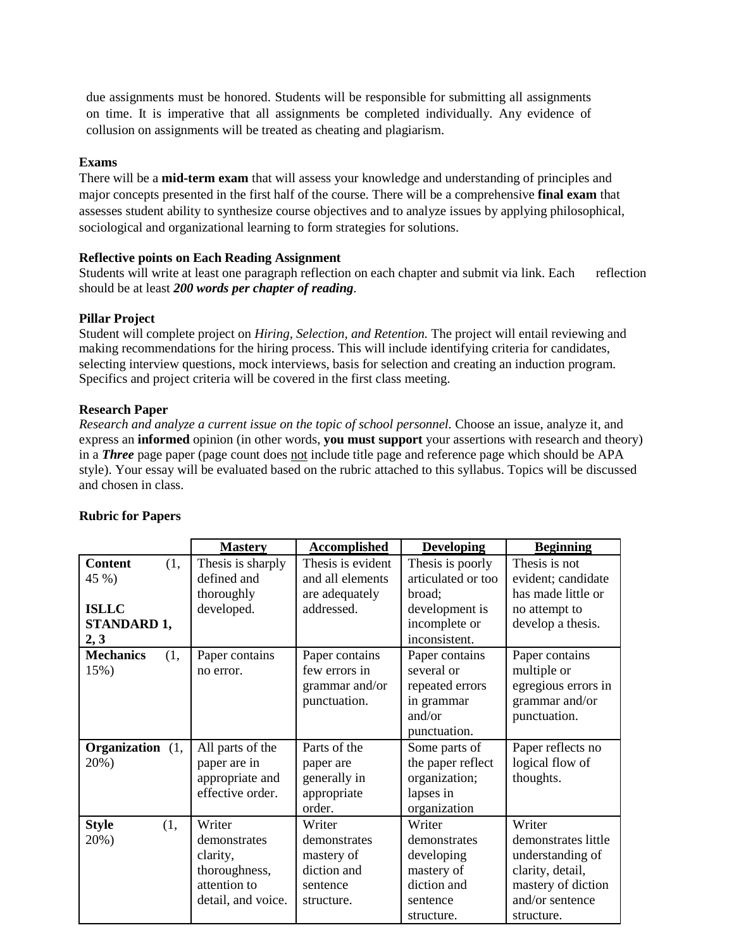due assignments must be honored. Students will be responsible for submitting all assignments on time. It is imperative that all assignments be completed individually. Any evidence of collusion on assignments will be treated as cheating and plagiarism.

#### **Exams**

There will be a **mid-term exam** that will assess your knowledge and understanding of principles and major concepts presented in the first half of the course. There will be a comprehensive **final exam** that assesses student ability to synthesize course objectives and to analyze issues by applying philosophical, sociological and organizational learning to form strategies for solutions.

### **Reflective points on Each Reading Assignment**

Students will write at least one paragraph reflection on each chapter and submit via link. Each reflection should be at least *200 words per chapter of reading*.

### **Pillar Project**

Student will complete project on *Hiring, Selection, and Retention.* The project will entail reviewing and making recommendations for the hiring process. This will include identifying criteria for candidates, selecting interview questions, mock interviews, basis for selection and creating an induction program. Specifics and project criteria will be covered in the first class meeting.

### **Research Paper**

*Research and analyze a current issue on the topic of school personnel.* Choose an issue, analyze it, and express an **informed** opinion (in other words, **you must support** your assertions with research and theory) in a *Three* page paper (page count does not include title page and reference page which should be APA style). Your essay will be evaluated based on the rubric attached to this syllabus. Topics will be discussed and chosen in class.

|                                                                       | <b>Mastery</b>                                                                            | <b>Accomplished</b>                                                           | <b>Developing</b>                                                                                    | <b>Beginning</b>                                                                                                             |
|-----------------------------------------------------------------------|-------------------------------------------------------------------------------------------|-------------------------------------------------------------------------------|------------------------------------------------------------------------------------------------------|------------------------------------------------------------------------------------------------------------------------------|
| <b>Content</b><br>(1,<br>45 %)<br><b>ISLLC</b><br>STANDARD 1,<br>2, 3 | Thesis is sharply<br>defined and<br>thoroughly<br>developed.                              | Thesis is evident<br>and all elements<br>are adequately<br>addressed.         | Thesis is poorly<br>articulated or too<br>broad;<br>development is<br>incomplete or<br>inconsistent. | Thesis is not<br>evident; candidate<br>has made little or<br>no attempt to<br>develop a thesis.                              |
| <b>Mechanics</b><br>(1,<br>15%)                                       | Paper contains<br>no error.                                                               | Paper contains<br>few errors in<br>grammar and/or<br>punctuation.             | Paper contains<br>several or<br>repeated errors<br>in grammar<br>and/or<br>punctuation.              | Paper contains<br>multiple or<br>egregious errors in<br>grammar and/or<br>punctuation.                                       |
| Organization (1,<br>20%)                                              | All parts of the<br>paper are in<br>appropriate and<br>effective order.                   | Parts of the<br>paper are<br>generally in<br>appropriate<br>order.            | Some parts of<br>the paper reflect<br>organization;<br>lapses in<br>organization                     | Paper reflects no<br>logical flow of<br>thoughts.                                                                            |
| <b>Style</b><br>(1,<br>20%)                                           | Writer<br>demonstrates<br>clarity,<br>thoroughness,<br>attention to<br>detail, and voice. | Writer<br>demonstrates<br>mastery of<br>diction and<br>sentence<br>structure. | Writer<br>demonstrates<br>developing<br>mastery of<br>diction and<br>sentence<br>structure.          | Writer<br>demonstrates little<br>understanding of<br>clarity, detail,<br>mastery of diction<br>and/or sentence<br>structure. |

#### **Rubric for Papers**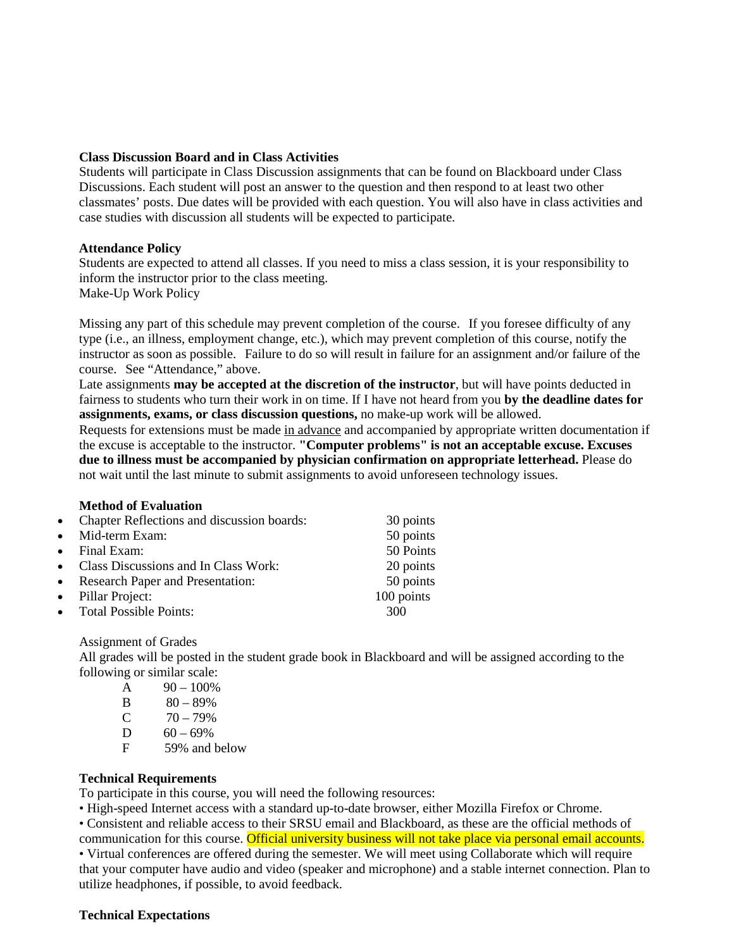### **Class Discussion Board and in Class Activities**

Students will participate in Class Discussion assignments that can be found on Blackboard under Class Discussions. Each student will post an answer to the question and then respond to at least two other classmates' posts. Due dates will be provided with each question. You will also have in class activities and case studies with discussion all students will be expected to participate.

### **Attendance Policy**

Students are expected to attend all classes. If you need to miss a class session, it is your responsibility to inform the instructor prior to the class meeting. Make-Up Work Policy

Missing any part of this schedule may prevent completion of the course. If you foresee difficulty of any type (i.e., an illness, employment change, etc.), which may prevent completion of this course, notify the instructor as soon as possible. Failure to do so will result in failure for an assignment and/or failure of the course. See "Attendance," above.

Late assignments **may be accepted at the discretion of the instructor**, but will have points deducted in fairness to students who turn their work in on time. If I have not heard from you **by the deadline dates for assignments, exams, or class discussion questions,** no make-up work will be allowed.

Requests for extensions must be made in advance and accompanied by appropriate written documentation if the excuse is acceptable to the instructor. **"Computer problems" is not an acceptable excuse. Excuses due to illness must be accompanied by physician confirmation on appropriate letterhead.** Please do not wait until the last minute to submit assignments to avoid unforeseen technology issues.

#### **Method of Evaluation**

| • Chapter Reflections and discussion boards: | 30 points  |
|----------------------------------------------|------------|
| • Mid-term Exam:                             | 50 points  |
| $\bullet$ Final Exam:                        | 50 Points  |
| • Class Discussions and In Class Work:       | 20 points  |
| • Research Paper and Presentation:           | 50 points  |
| • Pillar Project:                            | 100 points |
| • Total Possible Points:                     | 300        |

Assignment of Grades

All grades will be posted in the student grade book in Blackboard and will be assigned according to the following or similar scale:

| A             | $90 - 100\%$ |
|---------------|--------------|
| B             | $80 - 89\%$  |
| $\mathcal{C}$ | $70 - 79\%$  |

- $60 69\%$
- C  $70 79\%$ <br>D  $60 69\%$ <br>F 59% and 59% and below

### **Technical Requirements**

To participate in this course, you will need the following resources:

• High-speed Internet access with a standard up-to-date browser, either Mozilla Firefox or Chrome.

• Consistent and reliable access to their SRSU email and Blackboard, as these are the official methods of communication for this course. Official university business will not take place via personal email accounts.

• Virtual conferences are offered during the semester. We will meet using Collaborate which will require that your computer have audio and video (speaker and microphone) and a stable internet connection. Plan to utilize headphones, if possible, to avoid feedback.

#### **Technical Expectations**